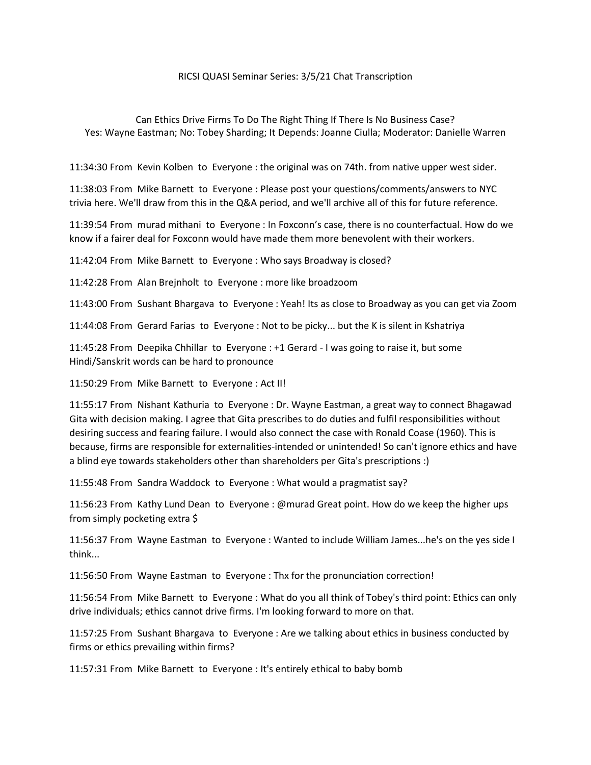## RICSI QUASI Seminar Series: 3/5/21 Chat Transcription

Can Ethics Drive Firms To Do The Right Thing If There Is No Business Case? Yes: Wayne Eastman; No: Tobey Sharding; It Depends: Joanne Ciulla; Moderator: Danielle Warren

11:34:30 From Kevin Kolben to Everyone : the original was on 74th. from native upper west sider.

11:38:03 From Mike Barnett to Everyone : Please post your questions/comments/answers to NYC trivia here. We'll draw from this in the Q&A period, and we'll archive all of this for future reference.

11:39:54 From murad mithani to Everyone : In Foxconn's case, there is no counterfactual. How do we know if a fairer deal for Foxconn would have made them more benevolent with their workers.

11:42:04 From Mike Barnett to Everyone : Who says Broadway is closed?

11:42:28 From Alan Brejnholt to Everyone : more like broadzoom

11:43:00 From Sushant Bhargava to Everyone : Yeah! Its as close to Broadway as you can get via Zoom

11:44:08 From Gerard Farias to Everyone : Not to be picky... but the K is silent in Kshatriya

11:45:28 From Deepika Chhillar to Everyone : +1 Gerard - I was going to raise it, but some Hindi/Sanskrit words can be hard to pronounce

11:50:29 From Mike Barnett to Everyone : Act II!

11:55:17 From Nishant Kathuria to Everyone : Dr. Wayne Eastman, a great way to connect Bhagawad Gita with decision making. I agree that Gita prescribes to do duties and fulfil responsibilities without desiring success and fearing failure. I would also connect the case with Ronald Coase (1960). This is because, firms are responsible for externalities-intended or unintended! So can't ignore ethics and have a blind eye towards stakeholders other than shareholders per Gita's prescriptions :)

11:55:48 From Sandra Waddock to Everyone : What would a pragmatist say?

11:56:23 From Kathy Lund Dean to Everyone : @murad Great point. How do we keep the higher ups from simply pocketing extra \$

11:56:37 From Wayne Eastman to Everyone : Wanted to include William James...he's on the yes side I think...

11:56:50 From Wayne Eastman to Everyone : Thx for the pronunciation correction!

11:56:54 From Mike Barnett to Everyone : What do you all think of Tobey's third point: Ethics can only drive individuals; ethics cannot drive firms. I'm looking forward to more on that.

11:57:25 From Sushant Bhargava to Everyone : Are we talking about ethics in business conducted by firms or ethics prevailing within firms?

11:57:31 From Mike Barnett to Everyone : It's entirely ethical to baby bomb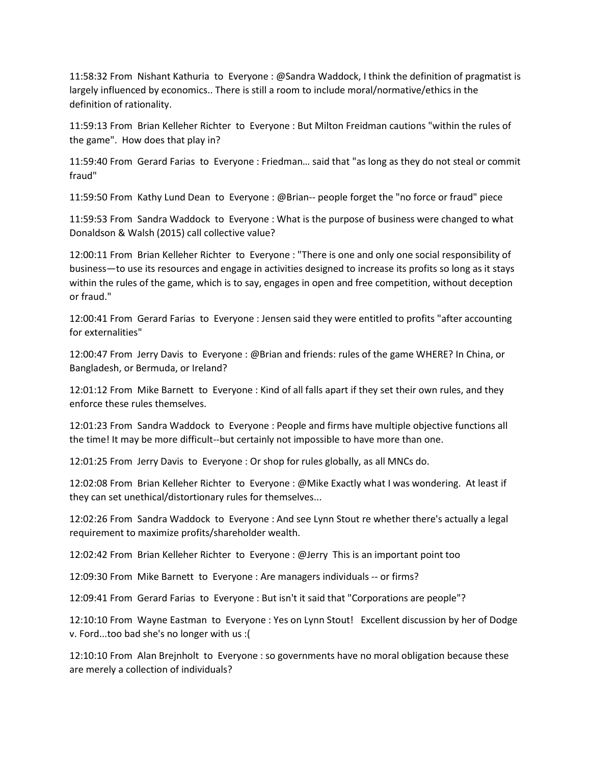11:58:32 From Nishant Kathuria to Everyone : @Sandra Waddock, I think the definition of pragmatist is largely influenced by economics.. There is still a room to include moral/normative/ethics in the definition of rationality.

11:59:13 From Brian Kelleher Richter to Everyone : But Milton Freidman cautions "within the rules of the game". How does that play in?

11:59:40 From Gerard Farias to Everyone : Friedman… said that "as long as they do not steal or commit fraud"

11:59:50 From Kathy Lund Dean to Everyone : @Brian-- people forget the "no force or fraud" piece

11:59:53 From Sandra Waddock to Everyone : What is the purpose of business were changed to what Donaldson & Walsh (2015) call collective value?

12:00:11 From Brian Kelleher Richter to Everyone : "There is one and only one social responsibility of business—to use its resources and engage in activities designed to increase its profits so long as it stays within the rules of the game, which is to say, engages in open and free competition, without deception or fraud."

12:00:41 From Gerard Farias to Everyone : Jensen said they were entitled to profits "after accounting for externalities"

12:00:47 From Jerry Davis to Everyone : @Brian and friends: rules of the game WHERE? In China, or Bangladesh, or Bermuda, or Ireland?

12:01:12 From Mike Barnett to Everyone : Kind of all falls apart if they set their own rules, and they enforce these rules themselves.

12:01:23 From Sandra Waddock to Everyone : People and firms have multiple objective functions all the time! It may be more difficult--but certainly not impossible to have more than one.

12:01:25 From Jerry Davis to Everyone : Or shop for rules globally, as all MNCs do.

12:02:08 From Brian Kelleher Richter to Everyone : @Mike Exactly what I was wondering. At least if they can set unethical/distortionary rules for themselves...

12:02:26 From Sandra Waddock to Everyone : And see Lynn Stout re whether there's actually a legal requirement to maximize profits/shareholder wealth.

12:02:42 From Brian Kelleher Richter to Everyone : @Jerry This is an important point too

12:09:30 From Mike Barnett to Everyone : Are managers individuals -- or firms?

12:09:41 From Gerard Farias to Everyone : But isn't it said that "Corporations are people"?

12:10:10 From Wayne Eastman to Everyone : Yes on Lynn Stout! Excellent discussion by her of Dodge v. Ford...too bad she's no longer with us :(

12:10:10 From Alan Brejnholt to Everyone : so governments have no moral obligation because these are merely a collection of individuals?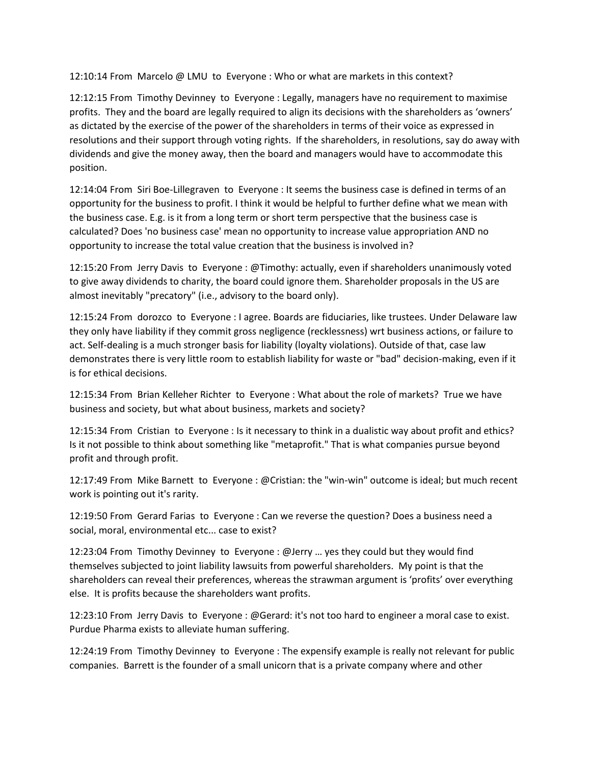12:10:14 From Marcelo @ LMU to Everyone : Who or what are markets in this context?

12:12:15 From Timothy Devinney to Everyone : Legally, managers have no requirement to maximise profits. They and the board are legally required to align its decisions with the shareholders as 'owners' as dictated by the exercise of the power of the shareholders in terms of their voice as expressed in resolutions and their support through voting rights. If the shareholders, in resolutions, say do away with dividends and give the money away, then the board and managers would have to accommodate this position.

12:14:04 From Siri Boe-Lillegraven to Everyone : It seems the business case is defined in terms of an opportunity for the business to profit. I think it would be helpful to further define what we mean with the business case. E.g. is it from a long term or short term perspective that the business case is calculated? Does 'no business case' mean no opportunity to increase value appropriation AND no opportunity to increase the total value creation that the business is involved in?

12:15:20 From Jerry Davis to Everyone : @Timothy: actually, even if shareholders unanimously voted to give away dividends to charity, the board could ignore them. Shareholder proposals in the US are almost inevitably "precatory" (i.e., advisory to the board only).

12:15:24 From dorozco to Everyone : I agree. Boards are fiduciaries, like trustees. Under Delaware law they only have liability if they commit gross negligence (recklessness) wrt business actions, or failure to act. Self-dealing is a much stronger basis for liability (loyalty violations). Outside of that, case law demonstrates there is very little room to establish liability for waste or "bad" decision-making, even if it is for ethical decisions.

12:15:34 From Brian Kelleher Richter to Everyone : What about the role of markets? True we have business and society, but what about business, markets and society?

12:15:34 From Cristian to Everyone : Is it necessary to think in a dualistic way about profit and ethics? Is it not possible to think about something like "metaprofit." That is what companies pursue beyond profit and through profit.

12:17:49 From Mike Barnett to Everyone : @Cristian: the "win-win" outcome is ideal; but much recent work is pointing out it's rarity.

12:19:50 From Gerard Farias to Everyone : Can we reverse the question? Does a business need a social, moral, environmental etc... case to exist?

12:23:04 From Timothy Devinney to Everyone : @Jerry … yes they could but they would find themselves subjected to joint liability lawsuits from powerful shareholders. My point is that the shareholders can reveal their preferences, whereas the strawman argument is 'profits' over everything else. It is profits because the shareholders want profits.

12:23:10 From Jerry Davis to Everyone : @Gerard: it's not too hard to engineer a moral case to exist. Purdue Pharma exists to alleviate human suffering.

12:24:19 From Timothy Devinney to Everyone : The expensify example is really not relevant for public companies. Barrett is the founder of a small unicorn that is a private company where and other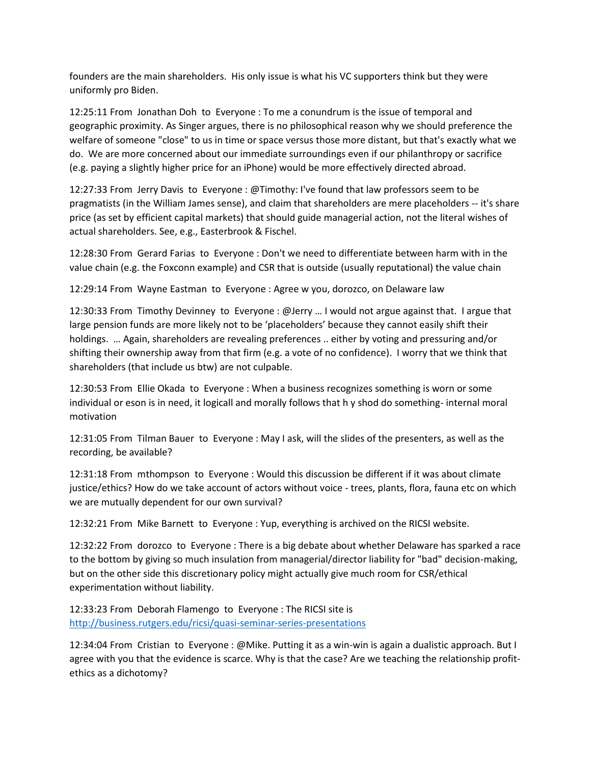founders are the main shareholders. His only issue is what his VC supporters think but they were uniformly pro Biden.

12:25:11 From Jonathan Doh to Everyone : To me a conundrum is the issue of temporal and geographic proximity. As Singer argues, there is no philosophical reason why we should preference the welfare of someone "close" to us in time or space versus those more distant, but that's exactly what we do. We are more concerned about our immediate surroundings even if our philanthropy or sacrifice (e.g. paying a slightly higher price for an iPhone) would be more effectively directed abroad.

12:27:33 From Jerry Davis to Everyone : @Timothy: I've found that law professors seem to be pragmatists (in the William James sense), and claim that shareholders are mere placeholders -- it's share price (as set by efficient capital markets) that should guide managerial action, not the literal wishes of actual shareholders. See, e.g., Easterbrook & Fischel.

12:28:30 From Gerard Farias to Everyone : Don't we need to differentiate between harm with in the value chain (e.g. the Foxconn example) and CSR that is outside (usually reputational) the value chain

12:29:14 From Wayne Eastman to Everyone : Agree w you, dorozco, on Delaware law

12:30:33 From Timothy Devinney to Everyone : @Jerry … I would not argue against that. I argue that large pension funds are more likely not to be 'placeholders' because they cannot easily shift their holdings. ... Again, shareholders are revealing preferences .. either by voting and pressuring and/or shifting their ownership away from that firm (e.g. a vote of no confidence). I worry that we think that shareholders (that include us btw) are not culpable.

12:30:53 From Ellie Okada to Everyone : When a business recognizes something is worn or some individual or eson is in need, it logicall and morally follows that h y shod do something- internal moral motivation

12:31:05 From Tilman Bauer to Everyone : May I ask, will the slides of the presenters, as well as the recording, be available?

12:31:18 From mthompson to Everyone : Would this discussion be different if it was about climate justice/ethics? How do we take account of actors without voice - trees, plants, flora, fauna etc on which we are mutually dependent for our own survival?

12:32:21 From Mike Barnett to Everyone : Yup, everything is archived on the RICSI website.

12:32:22 From dorozco to Everyone : There is a big debate about whether Delaware has sparked a race to the bottom by giving so much insulation from managerial/director liability for "bad" decision-making, but on the other side this discretionary policy might actually give much room for CSR/ethical experimentation without liability.

12:33:23 From Deborah Flamengo to Everyone : The RICSI site is <http://business.rutgers.edu/ricsi/quasi-seminar-series-presentations>

12:34:04 From Cristian to Everyone : @Mike. Putting it as a win-win is again a dualistic approach. But I agree with you that the evidence is scarce. Why is that the case? Are we teaching the relationship profitethics as a dichotomy?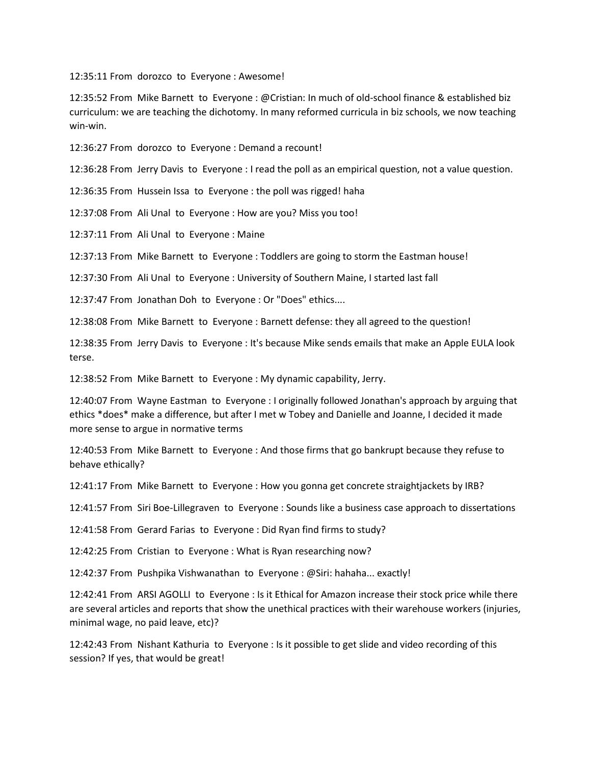12:35:11 From dorozco to Everyone : Awesome!

12:35:52 From Mike Barnett to Everyone : @Cristian: In much of old-school finance & established biz curriculum: we are teaching the dichotomy. In many reformed curricula in biz schools, we now teaching win-win.

12:36:27 From dorozco to Everyone : Demand a recount!

12:36:28 From Jerry Davis to Everyone : I read the poll as an empirical question, not a value question.

12:36:35 From Hussein Issa to Everyone : the poll was rigged! haha

12:37:08 From Ali Unal to Everyone : How are you? Miss you too!

12:37:11 From Ali Unal to Everyone : Maine

12:37:13 From Mike Barnett to Everyone : Toddlers are going to storm the Eastman house!

12:37:30 From Ali Unal to Everyone : University of Southern Maine, I started last fall

12:37:47 From Jonathan Doh to Everyone : Or "Does" ethics....

12:38:08 From Mike Barnett to Everyone : Barnett defense: they all agreed to the question!

12:38:35 From Jerry Davis to Everyone : It's because Mike sends emails that make an Apple EULA look terse.

12:38:52 From Mike Barnett to Everyone : My dynamic capability, Jerry.

12:40:07 From Wayne Eastman to Everyone : I originally followed Jonathan's approach by arguing that ethics \*does\* make a difference, but after I met w Tobey and Danielle and Joanne, I decided it made more sense to argue in normative terms

12:40:53 From Mike Barnett to Everyone : And those firms that go bankrupt because they refuse to behave ethically?

12:41:17 From Mike Barnett to Everyone : How you gonna get concrete straightjackets by IRB?

12:41:57 From Siri Boe-Lillegraven to Everyone : Sounds like a business case approach to dissertations

12:41:58 From Gerard Farias to Everyone : Did Ryan find firms to study?

12:42:25 From Cristian to Everyone : What is Ryan researching now?

12:42:37 From Pushpika Vishwanathan to Everyone : @Siri: hahaha... exactly!

12:42:41 From ARSI AGOLLI to Everyone : Is it Ethical for Amazon increase their stock price while there are several articles and reports that show the unethical practices with their warehouse workers (injuries, minimal wage, no paid leave, etc)?

12:42:43 From Nishant Kathuria to Everyone : Is it possible to get slide and video recording of this session? If yes, that would be great!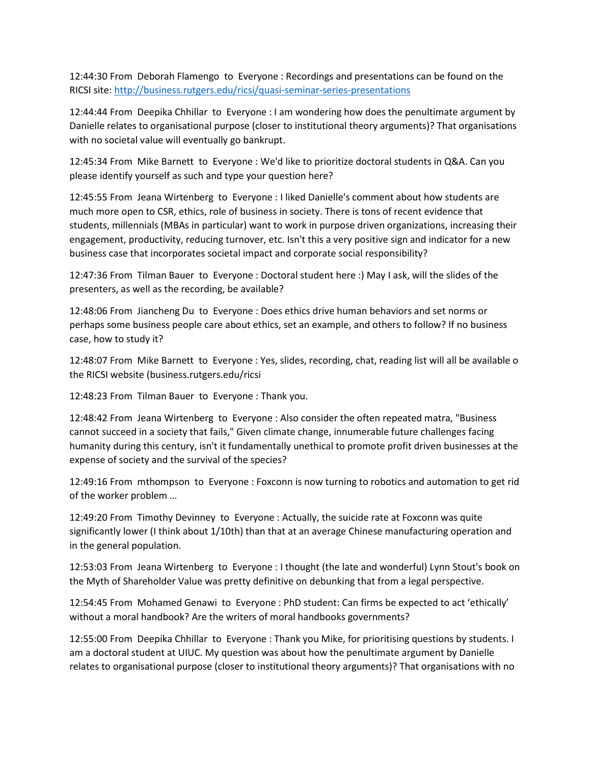12:44:30 From Deborah Flamengo to Everyone : Recordings and presentations can be found on the RICSI site:<http://business.rutgers.edu/ricsi/quasi-seminar-series-presentations>

12:44:44 From Deepika Chhillar to Everyone : I am wondering how does the penultimate argument by Danielle relates to organisational purpose (closer to institutional theory arguments)? That organisations with no societal value will eventually go bankrupt.

12:45:34 From Mike Barnett to Everyone : We'd like to prioritize doctoral students in Q&A. Can you please identify yourself as such and type your question here?

12:45:55 From Jeana Wirtenberg to Everyone : I liked Danielle's comment about how students are much more open to CSR, ethics, role of business in society. There is tons of recent evidence that students, millennials (MBAs in particular) want to work in purpose driven organizations, increasing their engagement, productivity, reducing turnover, etc. Isn't this a very positive sign and indicator for a new business case that incorporates societal impact and corporate social responsibility?

12:47:36 From Tilman Bauer to Everyone : Doctoral student here :) May I ask, will the slides of the presenters, as well as the recording, be available?

12:48:06 From Jiancheng Du to Everyone : Does ethics drive human behaviors and set norms or perhaps some business people care about ethics, set an example, and others to follow? If no business case, how to study it?

12:48:07 From Mike Barnett to Everyone : Yes, slides, recording, chat, reading list will all be available o the RICSI website (business.rutgers.edu/ricsi

12:48:23 From Tilman Bauer to Everyone : Thank you.

12:48:42 From Jeana Wirtenberg to Everyone : Also consider the often repeated matra, "Business cannot succeed in a society that fails," Given climate change, innumerable future challenges facing humanity during this century, isn't it fundamentally unethical to promote profit driven businesses at the expense of society and the survival of the species?

12:49:16 From mthompson to Everyone : Foxconn is now turning to robotics and automation to get rid of the worker problem …

12:49:20 From Timothy Devinney to Everyone : Actually, the suicide rate at Foxconn was quite significantly lower (I think about 1/10th) than that at an average Chinese manufacturing operation and in the general population.

12:53:03 From Jeana Wirtenberg to Everyone : I thought (the late and wonderful) Lynn Stout's book on the Myth of Shareholder Value was pretty definitive on debunking that from a legal perspective.

12:54:45 From Mohamed Genawi to Everyone : PhD student: Can firms be expected to act 'ethically' without a moral handbook? Are the writers of moral handbooks governments?

12:55:00 From Deepika Chhillar to Everyone : Thank you Mike, for prioritising questions by students. I am a doctoral student at UIUC. My question was about how the penultimate argument by Danielle relates to organisational purpose (closer to institutional theory arguments)? That organisations with no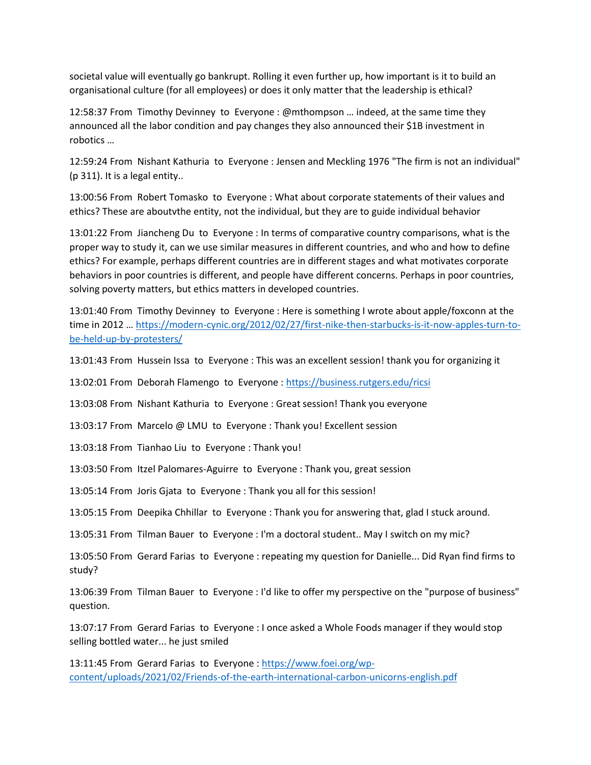societal value will eventually go bankrupt. Rolling it even further up, how important is it to build an organisational culture (for all employees) or does it only matter that the leadership is ethical?

12:58:37 From Timothy Devinney to Everyone : @mthompson … indeed, at the same time they announced all the labor condition and pay changes they also announced their \$1B investment in robotics …

12:59:24 From Nishant Kathuria to Everyone : Jensen and Meckling 1976 "The firm is not an individual" (p 311). It is a legal entity..

13:00:56 From Robert Tomasko to Everyone : What about corporate statements of their values and ethics? These are aboutvthe entity, not the individual, but they are to guide individual behavior

13:01:22 From Jiancheng Du to Everyone : In terms of comparative country comparisons, what is the proper way to study it, can we use similar measures in different countries, and who and how to define ethics? For example, perhaps different countries are in different stages and what motivates corporate behaviors in poor countries is different, and people have different concerns. Perhaps in poor countries, solving poverty matters, but ethics matters in developed countries.

13:01:40 From Timothy Devinney to Everyone : Here is something I wrote about apple/foxconn at the time in 2012 … [https://modern-cynic.org/2012/02/27/first-nike-then-starbucks-is-it-now-apples-turn-to](https://modern-cynic.org/2012/02/27/first-nike-then-starbucks-is-it-now-apples-turn-to-be-held-up-by-protesters/)[be-held-up-by-protesters/](https://modern-cynic.org/2012/02/27/first-nike-then-starbucks-is-it-now-apples-turn-to-be-held-up-by-protesters/)

13:01:43 From Hussein Issa to Everyone : This was an excellent session! thank you for organizing it

13:02:01 From Deborah Flamengo to Everyone :<https://business.rutgers.edu/ricsi>

13:03:08 From Nishant Kathuria to Everyone : Great session! Thank you everyone

13:03:17 From Marcelo @ LMU to Everyone : Thank you! Excellent session

13:03:18 From Tianhao Liu to Everyone : Thank you!

13:03:50 From Itzel Palomares-Aguirre to Everyone : Thank you, great session

13:05:14 From Joris Gjata to Everyone : Thank you all for this session!

13:05:15 From Deepika Chhillar to Everyone : Thank you for answering that, glad I stuck around.

13:05:31 From Tilman Bauer to Everyone : I'm a doctoral student.. May I switch on my mic?

13:05:50 From Gerard Farias to Everyone : repeating my question for Danielle... Did Ryan find firms to study?

13:06:39 From Tilman Bauer to Everyone : I'd like to offer my perspective on the "purpose of business" question.

13:07:17 From Gerard Farias to Everyone : I once asked a Whole Foods manager if they would stop selling bottled water... he just smiled

13:11:45 From Gerard Farias to Everyone : [https://www.foei.org/wp](https://www.foei.org/wp-content/uploads/2021/02/Friends-of-the-earth-international-carbon-unicorns-english.pdf)[content/uploads/2021/02/Friends-of-the-earth-international-carbon-unicorns-english.pdf](https://www.foei.org/wp-content/uploads/2021/02/Friends-of-the-earth-international-carbon-unicorns-english.pdf)